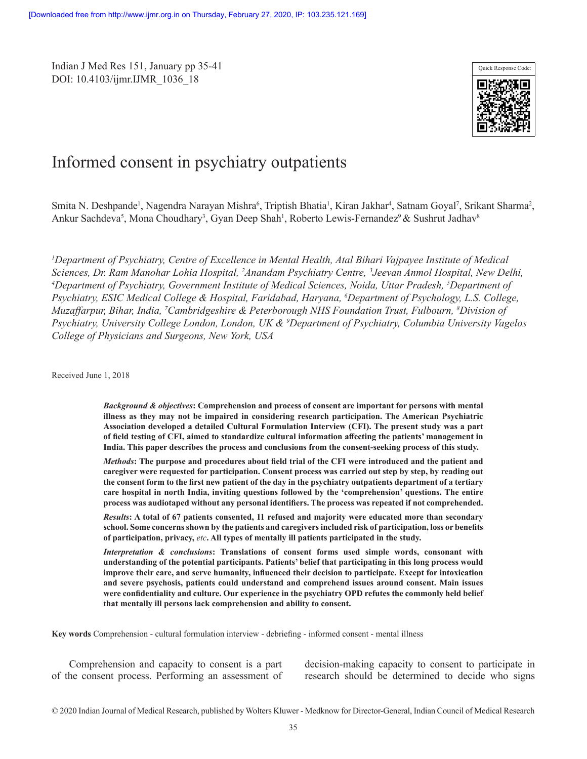Indian J Med Res 151, January pp 35-41 DOI: 10.4103/ijmr.IJMR\_1036\_18



# Informed consent in psychiatry outpatients

Smita N. Deshpande<sup>1</sup>, Nagendra Narayan Mishra<sup>6</sup>, Triptish Bhatia<sup>1</sup>, Kiran Jakhar<sup>4</sup>, Satnam Goyal<sup>7</sup>, Srikant Sharma<sup>2</sup>, Ankur Sachdeva<sup>5</sup>, Mona Choudhary<sup>3</sup>, Gyan Deep Shah<sup>1</sup>, Roberto Lewis-Fernandez<sup>9</sup> & Sushrut Jadhav<sup>8</sup>

<sup>1</sup>Department of Psychiatry, Centre of Excellence in Mental Health, Atal Bihari Vajpayee Institute of Medical *Sciences, Dr. Ram Manohar Lohia Hospital, <sup>2</sup> Anandam Psychiatry Centre, <sup>3</sup> Jeevan Anmol Hospital, New Delhi,<br><sup>4</sup> Department of Psychiatry Government Institute of Medical Sciences, Noida, Uttar Pradesh, <sup>5</sup> Department of Department of Psychiatry, Government Institute of Medical Sciences, Noida, Uttar Pradesh, 5 Department of Psychiatry, ESIC Medical College & Hospital, Faridabad, Haryana, 6 Department of Psychology, L.S. College, Muzaffarpur, Bihar, India, <sup>7</sup> Cambridgeshire & Peterborough NHS Foundation Trust, Fulbourn, 8 Division of Psychiatry, University College London, London, UK & 9 Department of Psychiatry, Columbia University Vagelos College of Physicians and Surgeons, New York, USA*

Received June 1, 2018

*Background & objectives***: Comprehension and process of consent are important for persons with mental illness as they may not be impaired in considering research participation. The American Psychiatric Association developed a detailed Cultural Formulation Interview (CFI). The present study was a part of field testing of CFI, aimed to standardize cultural information affecting the patients' management in India. This paper describes the process and conclusions from the consent-seeking process of this study.**

*Methods***: The purpose and procedures about field trial of the CFI were introduced and the patient and caregiver were requested for participation. Consent process was carried out step by step, by reading out the consent form to the first new patient of the day in the psychiatry outpatients department of a tertiary care hospital in north India, inviting questions followed by the 'comprehension' questions. The entire process was audiotaped without any personal identifiers. The process was repeated if not comprehended.** 

*Results***: A total of 67 patients consented, 11 refused and majority were educated more than secondary school. Some concerns shown by the patients and caregivers included risk of participation, loss or benefits of participation, privacy,** *etc***. All types of mentally ill patients participated in the study.**

*Interpretation & conclusions***: Translations of consent forms used simple words, consonant with understanding of the potential participants. Patients' belief that participating in this long process would improve their care, and serve humanity, influenced their decision to participate. Except for intoxication and severe psychosis, patients could understand and comprehend issues around consent. Main issues were confidentiality and culture. Our experience in the psychiatry OPD refutes the commonly held belief that mentally ill persons lack comprehension and ability to consent.**

**Key words** Comprehension - cultural formulation interview - debriefing - informed consent - mental illness

Comprehension and capacity to consent is a part of the consent process. Performing an assessment of

decision-making capacity to consent to participate in research should be determined to decide who signs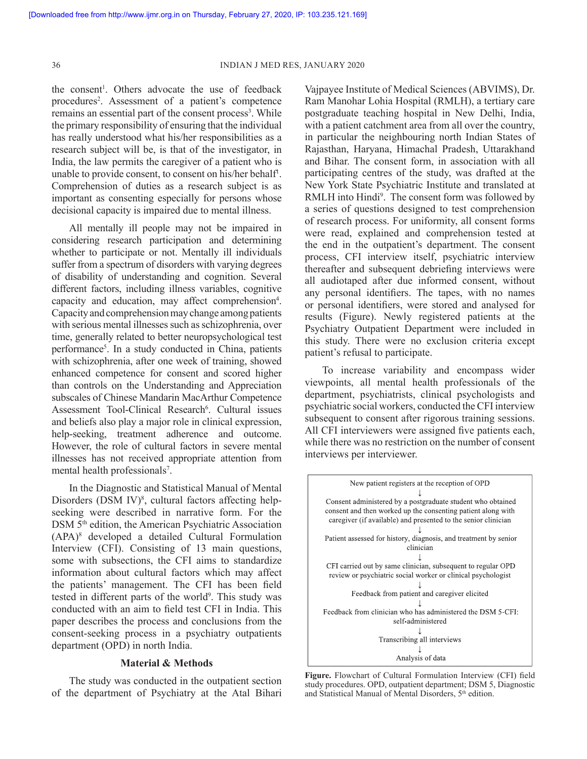the consent<sup>1</sup>. Others advocate the use of feedback procedures<sup>2</sup>. Assessment of a patient's competence remains an essential part of the consent process<sup>3</sup>. While the primary responsibility of ensuring that the individual has really understood what his/her responsibilities as a research subject will be, is that of the investigator, in India, the law permits the caregiver of a patient who is unable to provide consent, to consent on his/her behalf1 . Comprehension of duties as a research subject is as important as consenting especially for persons whose decisional capacity is impaired due to mental illness.

All mentally ill people may not be impaired in considering research participation and determining whether to participate or not. Mentally ill individuals suffer from a spectrum of disorders with varying degrees of disability of understanding and cognition. Several different factors, including illness variables, cognitive capacity and education, may affect comprehension<sup>4</sup>. Capacity and comprehension may change among patients with serious mental illnesses such as schizophrenia, over time, generally related to better neuropsychological test performance5 . In a study conducted in China, patients with schizophrenia, after one week of training, showed enhanced competence for consent and scored higher than controls on the Understanding and Appreciation subscales of Chinese Mandarin MacArthur Competence Assessment Tool-Clinical Research<sup>6</sup>. Cultural issues and beliefs also play a major role in clinical expression, help-seeking, treatment adherence and outcome. However, the role of cultural factors in severe mental illnesses has not received appropriate attention from mental health professionals<sup>7</sup>.

In the Diagnostic and Statistical Manual of Mental Disorders (DSM IV)<sup>8</sup>, cultural factors affecting helpseeking were described in narrative form. For the DSM 5<sup>th</sup> edition, the American Psychiatric Association (APA)8 developed a detailed Cultural Formulation Interview (CFI). Consisting of 13 main questions, some with subsections, the CFI aims to standardize information about cultural factors which may affect the patients' management. The CFI has been field tested in different parts of the world<sup>9</sup>. This study was conducted with an aim to field test CFI in India. This paper describes the process and conclusions from the consent-seeking process in a psychiatry outpatients department (OPD) in north India.

## **Material & Methods**

The study was conducted in the outpatient section of the department of Psychiatry at the Atal Bihari Vajpayee Institute of Medical Sciences (ABVIMS), Dr. Ram Manohar Lohia Hospital (RMLH), a tertiary care postgraduate teaching hospital in New Delhi, India, with a patient catchment area from all over the country, in particular the neighbouring north Indian States of Rajasthan, Haryana, Himachal Pradesh, Uttarakhand and Bihar. The consent form, in association with all participating centres of the study, was drafted at the New York State Psychiatric Institute and translated at RMLH into Hindi<sup>9</sup>. The consent form was followed by a series of questions designed to test comprehension of research process. For uniformity, all consent forms were read, explained and comprehension tested at the end in the outpatient's department. The consent process, CFI interview itself, psychiatric interview thereafter and subsequent debriefing interviews were all audiotaped after due informed consent, without any personal identifiers. The tapes, with no names or personal identifiers, were stored and analysed for results (Figure). Newly registered patients at the Psychiatry Outpatient Department were included in this study. There were no exclusion criteria except patient's refusal to participate.

To increase variability and encompass wider viewpoints, all mental health professionals of the department, psychiatrists, clinical psychologists and psychiatric social workers, conducted the CFI interview subsequent to consent after rigorous training sessions. All CFI interviewers were assigned five patients each, while there was no restriction on the number of consent interviews per interviewer.



**Figure.** Flowchart of Cultural Formulation Interview (CFI) field study procedures. OPD, outpatient department; DSM 5, Diagnostic and Statistical Manual of Mental Disorders, 5<sup>th</sup> edition.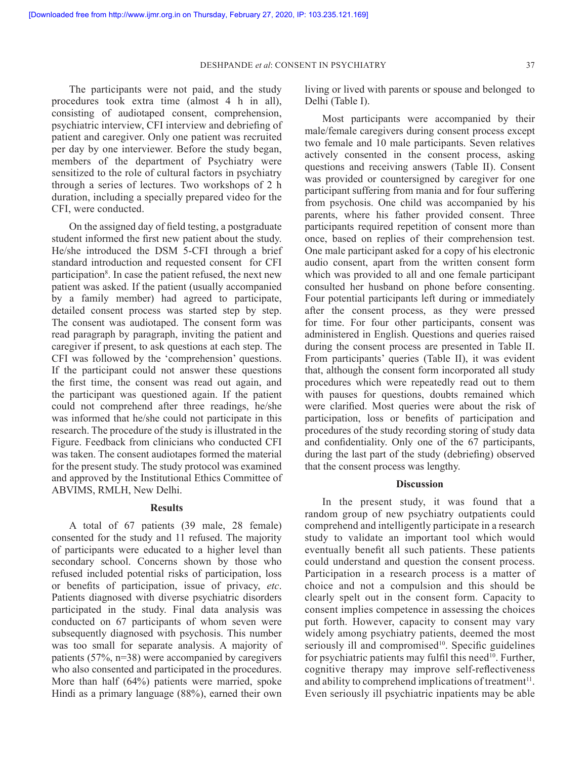The participants were not paid, and the study procedures took extra time (almost 4 h in all), consisting of audiotaped consent, comprehension, psychiatric interview, CFI interview and debriefing of patient and caregiver. Only one patient was recruited per day by one interviewer. Before the study began, members of the department of Psychiatry were sensitized to the role of cultural factors in psychiatry through a series of lectures. Two workshops of 2 h duration, including a specially prepared video for the CFI, were conducted.

On the assigned day of field testing, a postgraduate student informed the first new patient about the study. He/she introduced the DSM 5-CFI through a brief standard introduction and requested consent for CFI participation<sup>8</sup>. In case the patient refused, the next new patient was asked. If the patient (usually accompanied by a family member) had agreed to participate, detailed consent process was started step by step. The consent was audiotaped. The consent form was read paragraph by paragraph, inviting the patient and caregiver if present, to ask questions at each step. The CFI was followed by the 'comprehension' questions. If the participant could not answer these questions the first time, the consent was read out again, and the participant was questioned again. If the patient could not comprehend after three readings, he/she was informed that he/she could not participate in this research. The procedure of the study is illustrated in the Figure. Feedback from clinicians who conducted CFI was taken. The consent audiotapes formed the material for the present study. The study protocol was examined and approved by the Institutional Ethics Committee of ABVIMS, RMLH, New Delhi.

### **Results**

A total of 67 patients (39 male, 28 female) consented for the study and 11 refused. The majority of participants were educated to a higher level than secondary school. Concerns shown by those who refused included potential risks of participation, loss or benefits of participation, issue of privacy, *etc*. Patients diagnosed with diverse psychiatric disorders participated in the study. Final data analysis was conducted on 67 participants of whom seven were subsequently diagnosed with psychosis. This number was too small for separate analysis. A majority of patients (57%, n=38) were accompanied by caregivers who also consented and participated in the procedures. More than half (64%) patients were married, spoke Hindi as a primary language (88%), earned their own

living or lived with parents or spouse and belonged to Delhi (Table I).

Most participants were accompanied by their male/female caregivers during consent process except two female and 10 male participants. Seven relatives actively consented in the consent process, asking questions and receiving answers (Table II). Consent was provided or countersigned by caregiver for one participant suffering from mania and for four suffering from psychosis. One child was accompanied by his parents, where his father provided consent. Three participants required repetition of consent more than once, based on replies of their comprehension test. One male participant asked for a copy of his electronic audio consent, apart from the written consent form which was provided to all and one female participant consulted her husband on phone before consenting. Four potential participants left during or immediately after the consent process, as they were pressed for time. For four other participants, consent was administered in English. Questions and queries raised during the consent process are presented in Table II. From participants' queries (Table II), it was evident that, although the consent form incorporated all study procedures which were repeatedly read out to them with pauses for questions, doubts remained which were clarified. Most queries were about the risk of participation, loss or benefits of participation and procedures of the study recording storing of study data and confidentiality. Only one of the 67 participants, during the last part of the study (debriefing) observed that the consent process was lengthy.

## **Discussion**

In the present study, it was found that a random group of new psychiatry outpatients could comprehend and intelligently participate in a research study to validate an important tool which would eventually benefit all such patients. These patients could understand and question the consent process. Participation in a research process is a matter of choice and not a compulsion and this should be clearly spelt out in the consent form. Capacity to consent implies competence in assessing the choices put forth. However, capacity to consent may vary widely among psychiatry patients, deemed the most seriously ill and compromised $10$ . Specific guidelines for psychiatric patients may fulfil this need<sup>10</sup>. Further, cognitive therapy may improve self-reflectiveness and ability to comprehend implications of treatment<sup>11</sup>. Even seriously ill psychiatric inpatients may be able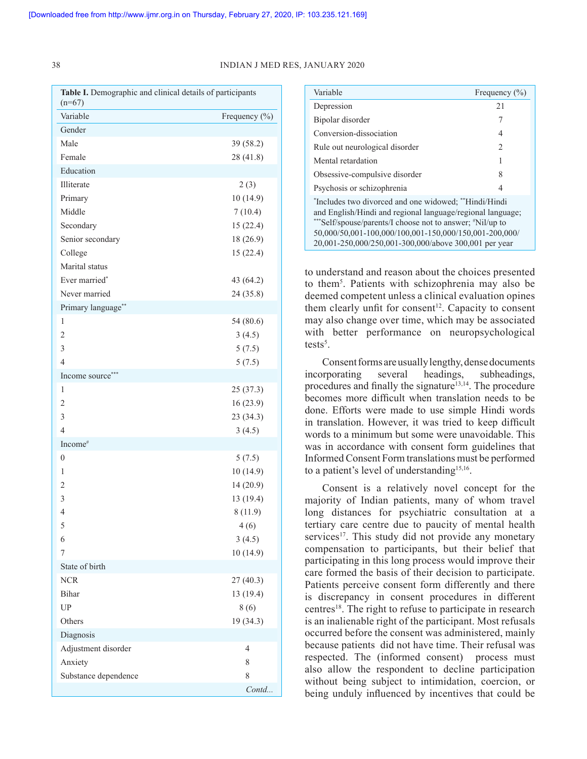#### 38 INDIAN J MED RES, JANUARY 2020

| Table I. Demographic and clinical details of participants<br>$(n=67)$ |               |
|-----------------------------------------------------------------------|---------------|
| Variable                                                              | Frequency (%) |
| Gender                                                                |               |
| Male                                                                  | 39 (58.2)     |
| Female                                                                | 28 (41.8)     |
| Education                                                             |               |
| Illiterate                                                            | 2(3)          |
| Primary                                                               | 10(14.9)      |
| Middle                                                                | 7(10.4)       |
| Secondary                                                             | 15(22.4)      |
| Senior secondary                                                      | 18 (26.9)     |
| College                                                               | 15(22.4)      |
| Marital status                                                        |               |
| Ever married*                                                         | 43 (64.2)     |
| Never married                                                         | 24 (35.8)     |
| Primary language**                                                    |               |
| $\mathbf{1}$                                                          | 54 (80.6)     |
| $\overline{c}$                                                        | 3(4.5)        |
| 3                                                                     | 5(7.5)        |
| $\overline{4}$                                                        | 5(7.5)        |
| Income source***                                                      |               |
| 1                                                                     | 25(37.3)      |
| $\overline{2}$                                                        | 16(23.9)      |
| 3                                                                     | 23 (34.3)     |
| $\overline{4}$                                                        | 3(4.5)        |
| Income <sup>#</sup>                                                   |               |
| $\boldsymbol{0}$                                                      | 5(7.5)        |
| 1                                                                     | 10(14.9)      |
| $\overline{2}$                                                        | 14 (20.9)     |
| 3                                                                     | 13 (19.4)     |
| $\overline{4}$                                                        | 8(11.9)       |
| 5                                                                     | 4(6)          |
| 6                                                                     | 3(4.5)        |
| 7                                                                     | 10(14.9)      |
| State of birth                                                        |               |
| <b>NCR</b>                                                            | 27(40.3)      |
| <b>Bihar</b>                                                          | 13 (19.4)     |
| UP                                                                    | 8(6)          |
| Others                                                                | 19 (34.3)     |
| Diagnosis                                                             |               |
| Adjustment disorder                                                   | 4             |
| Anxiety                                                               | 8             |
| Substance dependence                                                  | 8             |
|                                                                       | Contd         |

| Variable                                                                                                                                                                                                                                                                                            | Frequency $(\% )$ |
|-----------------------------------------------------------------------------------------------------------------------------------------------------------------------------------------------------------------------------------------------------------------------------------------------------|-------------------|
| Depression                                                                                                                                                                                                                                                                                          | 2.1               |
| Bipolar disorder                                                                                                                                                                                                                                                                                    | 7                 |
| Conversion-dissociation                                                                                                                                                                                                                                                                             | 4                 |
| Rule out neurological disorder                                                                                                                                                                                                                                                                      | $\mathfrak{D}$    |
| Mental retardation                                                                                                                                                                                                                                                                                  |                   |
| Obsessive-compulsive disorder                                                                                                                                                                                                                                                                       | 8                 |
| Psychosis or schizophrenia                                                                                                                                                                                                                                                                          |                   |
| *Includes two divorced and one widowed; **Hindi/Hindi<br>and English/Hindi and regional language/regional language;<br>***Self/spouse/parents/I choose not to answer; *Nil/up to<br>50,000/50,001-100,000/100,001-150,000/150,001-200,000/<br>20,001-250,000/250,001-300,000/above 300,001 per year |                   |

to understand and reason about the choices presented to them5 . Patients with schizophrenia may also be deemed competent unless a clinical evaluation opines them clearly unfit for consent<sup>12</sup>. Capacity to consent may also change over time, which may be associated with better performance on neuropsychological tests<sup>5</sup>.

Consent forms are usually lengthy, dense documents incorporating several headings, subheadings, procedures and finally the signature<sup>13,14</sup>. The procedure becomes more difficult when translation needs to be done. Efforts were made to use simple Hindi words in translation. However, it was tried to keep difficult words to a minimum but some were unavoidable. This was in accordance with consent form guidelines that Informed Consent Form translations must be performed to a patient's level of understanding<sup>15,16</sup>.

Consent is a relatively novel concept for the majority of Indian patients, many of whom travel long distances for psychiatric consultation at a tertiary care centre due to paucity of mental health services<sup>17</sup>. This study did not provide any monetary compensation to participants, but their belief that participating in this long process would improve their care formed the basis of their decision to participate. Patients perceive consent form differently and there is discrepancy in consent procedures in different centres<sup>18</sup>. The right to refuse to participate in research is an inalienable right of the participant. Most refusals occurred before the consent was administered, mainly because patients did not have time. Their refusal was respected. The (informed consent) process must also allow the respondent to decline participation without being subject to intimidation, coercion, or being unduly influenced by incentives that could be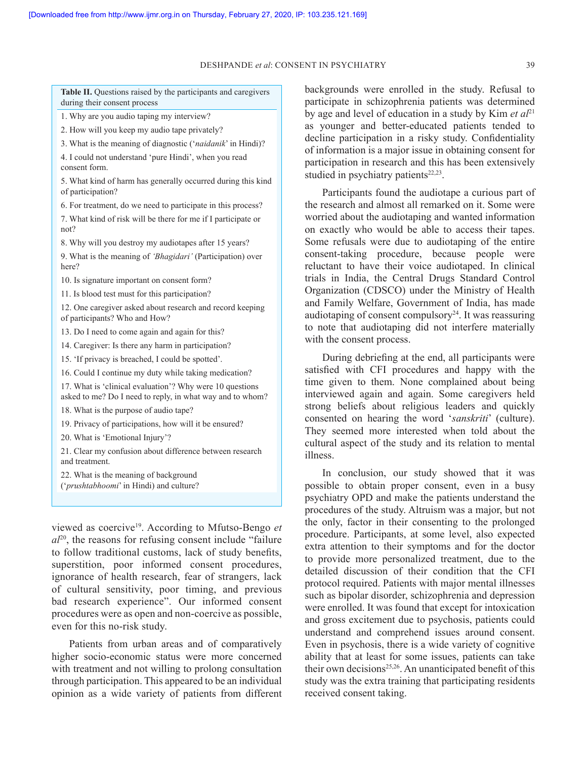DESHPANDE *et al*: CONSENT IN PSYCHIATRY 39

**Table II.** Questions raised by the participants and caregivers during their consent process

1. Why are you audio taping my interview?

2. How will you keep my audio tape privately?

3. What is the meaning of diagnostic ('*naidanik*' in Hindi)?

4. I could not understand 'pure Hindi', when you read consent form.

5. What kind of harm has generally occurred during this kind of participation?

6. For treatment, do we need to participate in this process?

7. What kind of risk will be there for me if I participate or not?

8. Why will you destroy my audiotapes after 15 years?

9. What is the meaning of *'Bhagidari'* (Participation) over here?

10. Is signature important on consent form?

11. Is blood test must for this participation?

12. One caregiver asked about research and record keeping of participants? Who and How?

13. Do I need to come again and again for this?

14. Caregiver: Is there any harm in participation?

15. 'If privacy is breached, I could be spotted'.

16. Could I continue my duty while taking medication?

17. What is 'clinical evaluation'? Why were 10 questions asked to me? Do I need to reply, in what way and to whom?

18. What is the purpose of audio tape?

19. Privacy of participations, how will it be ensured?

20. What is 'Emotional Injury'?

21. Clear my confusion about difference between research and treatment.

22. What is the meaning of background ('*prushtabhoomi*' in Hindi) and culture?

viewed as coercive19. According to Mfutso-Bengo *et*   $a<sup>20</sup>$ , the reasons for refusing consent include "failure" to follow traditional customs, lack of study benefits, superstition, poor informed consent procedures, ignorance of health research, fear of strangers, lack of cultural sensitivity, poor timing, and previous bad research experience". Our informed consent procedures were as open and non-coercive as possible, even for this no-risk study.

Patients from urban areas and of comparatively higher socio-economic status were more concerned with treatment and not willing to prolong consultation through participation. This appeared to be an individual opinion as a wide variety of patients from different

backgrounds were enrolled in the study. Refusal to participate in schizophrenia patients was determined by age and level of education in a study by Kim *et al*<sup>21</sup> as younger and better-educated patients tended to decline participation in a risky study. Confidentiality of information is a major issue in obtaining consent for participation in research and this has been extensively studied in psychiatry patients $22,23$ .

Participants found the audiotape a curious part of the research and almost all remarked on it. Some were worried about the audiotaping and wanted information on exactly who would be able to access their tapes. Some refusals were due to audiotaping of the entire consent-taking procedure, because people were reluctant to have their voice audiotaped. In clinical trials in India, the Central Drugs Standard Control Organization (CDSCO) under the Ministry of Health and Family Welfare, Government of India, has made audiotaping of consent compulsory $24$ . It was reassuring to note that audiotaping did not interfere materially with the consent process.

During debriefing at the end, all participants were satisfied with CFI procedures and happy with the time given to them. None complained about being interviewed again and again. Some caregivers held strong beliefs about religious leaders and quickly consented on hearing the word '*sanskriti*' (culture). They seemed more interested when told about the cultural aspect of the study and its relation to mental illness.

In conclusion, our study showed that it was possible to obtain proper consent, even in a busy psychiatry OPD and make the patients understand the procedures of the study. Altruism was a major, but not the only, factor in their consenting to the prolonged procedure. Participants, at some level, also expected extra attention to their symptoms and for the doctor to provide more personalized treatment, due to the detailed discussion of their condition that the CFI protocol required. Patients with major mental illnesses such as bipolar disorder, schizophrenia and depression were enrolled. It was found that except for intoxication and gross excitement due to psychosis, patients could understand and comprehend issues around consent. Even in psychosis, there is a wide variety of cognitive ability that at least for some issues, patients can take their own decisions<sup>25,26</sup>. An unanticipated benefit of this study was the extra training that participating residents received consent taking.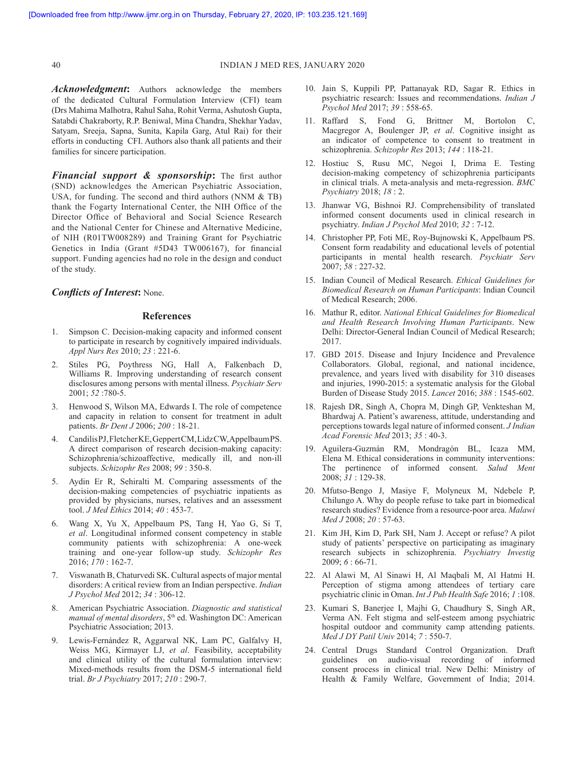*Acknowledgment***:** Authors acknowledge the members of the dedicated Cultural Formulation Interview (CFI) team (Drs Mahima Malhotra, Rahul Saha, Rohit Verma, Ashutosh Gupta, Satabdi Chakraborty, R.P. Beniwal, Mina Chandra, Shekhar Yadav, Satyam, Sreeja, Sapna, Sunita, Kapila Garg, Atul Rai) for their efforts in conducting CFI. Authors also thank all patients and their families for sincere participation.

*Financial support & sponsorship***:** The first author (SND) acknowledges the American Psychiatric Association, USA, for funding. The second and third authors (NNM & TB) thank the Fogarty International Center, the NIH Office of the Director Office of Behavioral and Social Science Research and the National Center for Chinese and Alternative Medicine, of NIH (R01TW008289) and Training Grant for Psychiatric Genetics in India (Grant #5D43 TW006167), for financial support. Funding agencies had no role in the design and conduct of the study.

## *Conflicts of Interest***:** None.

#### **References**

- 1. Simpson C. Decision-making capacity and informed consent to participate in research by cognitively impaired individuals. *Appl Nurs Res* 2010; *23* : 221-6.
- 2. Stiles PG, Poythress NG, Hall A, Falkenbach D, Williams R. Improving understanding of research consent disclosures among persons with mental illness. *Psychiatr Serv* 2001; *52* :780-5.
- 3. Henwood S, Wilson MA, Edwards I. The role of competence and capacity in relation to consent for treatment in adult patients. *Br Dent J* 2006; *200* : 18-21.
- 4. Candilis PJ, Fletcher KE, Geppert CM, Lidz CW, Appelbaum PS. A direct comparison of research decision-making capacity: Schizophrenia/schizoaffective, medically ill, and non-ill subjects. *Schizophr Res* 2008; *99* : 350-8.
- 5. Aydin Er R, Sehiralti M. Comparing assessments of the decision-making competencies of psychiatric inpatients as provided by physicians, nurses, relatives and an assessment tool. *J Med Ethics* 2014; *40* : 453-7.
- 6. Wang X, Yu X, Appelbaum PS, Tang H, Yao G, Si T, *et al*. Longitudinal informed consent competency in stable community patients with schizophrenia: A one-week training and one-year follow-up study. *Schizophr Res* 2016; *170* : 162-7.
- 7. Viswanath B, Chaturvedi SK. Cultural aspects of major mental disorders: A critical review from an Indian perspective. *Indian J Psychol Med* 2012; *34* : 306-12.
- 8. American Psychiatric Association. *Diagnostic and statistical manual of mental disorders*, 5<sup>th</sup> ed. Washington DC: American Psychiatric Association; 2013.
- 9. Lewis-Fernández R, Aggarwal NK, Lam PC, Galfalvy H, Weiss MG, Kirmayer LJ, *et al*. Feasibility, acceptability and clinical utility of the cultural formulation interview: Mixed-methods results from the DSM-5 international field trial. *Br J Psychiatry* 2017; *210* : 290-7.
- 10. Jain S, Kuppili PP, Pattanayak RD, Sagar R. Ethics in psychiatric research: Issues and recommendations. *Indian J Psychol Med* 2017; *39* : 558-65.
- 11. Raffard S, Fond G, Brittner M, Bortolon C, Macgregor A, Boulenger JP, *et al*. Cognitive insight as an indicator of competence to consent to treatment in schizophrenia. *Schizophr Res* 2013; *144* : 118-21.
- 12. Hostiuc S, Rusu MC, Negoi I, Drima E. Testing decision-making competency of schizophrenia participants in clinical trials. A meta-analysis and meta-regression. *BMC Psychiatry* 2018; *18* : 2.
- 13. Jhanwar VG, Bishnoi RJ. Comprehensibility of translated informed consent documents used in clinical research in psychiatry. *Indian J Psychol Med* 2010; *32* : 7-12.
- 14. Christopher PP, Foti ME, Roy-Bujnowski K, Appelbaum PS. Consent form readability and educational levels of potential participants in mental health research. *Psychiatr Serv* 2007; *58* : 227-32.
- 15. Indian Council of Medical Research. *Ethical Guidelines for Biomedical Research on Human Participants*: Indian Council of Medical Research; 2006.
- 16. Mathur R, editor. *National Ethical Guidelines for Biomedical and Health Research Involving Human Participants*. New Delhi: Director-General Indian Council of Medical Research; 2017.
- 17. GBD 2015. Disease and Injury Incidence and Prevalence Collaborators. Global, regional, and national incidence, prevalence, and years lived with disability for 310 diseases and injuries, 1990-2015: a systematic analysis for the Global Burden of Disease Study 2015. *Lancet* 2016; *388* : 1545-602.
- 18. Rajesh DR, Singh A, Chopra M, Dingh GP, Venkteshan M, Bhardwaj A. Patient's awareness, attitude, understanding and perceptions towards legal nature of informed consent. *J Indian Acad Forensic Med* 2013; *35* : 40-3.
- 19. Aguilera-Guzmán RM, Mondragón BL, Icaza MM, Elena M. Ethical considerations in community interventions: The pertinence of informed consent. *Salud Ment* 2008; *31* : 129-38.
- 20. Mfutso-Bengo J, Masiye F, Molyneux M, Ndebele P, Chilungo A. Why do people refuse to take part in biomedical research studies? Evidence from a resource-poor area. *Malawi Med J* 2008; *20* : 57-63.
- 21. Kim JH, Kim D, Park SH, Nam J. Accept or refuse? A pilot study of patients' perspective on participating as imaginary research subjects in schizophrenia. *Psychiatry Investig* 2009; *6* : 66-71.
- 22. Al Alawi M, Al Sinawi H, Al Maqbali M, Al Hatmi H. Perception of stigma among attendees of tertiary care psychiatric clinic in Oman. *Int J Pub Health Safe* 2016; *1* :108.
- 23. Kumari S, Banerjee I, Majhi G, Chaudhury S, Singh AR, Verma AN. Felt stigma and self-esteem among psychiatric hospital outdoor and community camp attending patients. *Med J DY Patil Univ* 2014; *7* : 550-7.
- 24. Central Drugs Standard Control Organization. Draft guidelines on audio-visual recording of informed consent process in clinical trial. New Delhi: Ministry of Health & Family Welfare, Government of India; 2014.